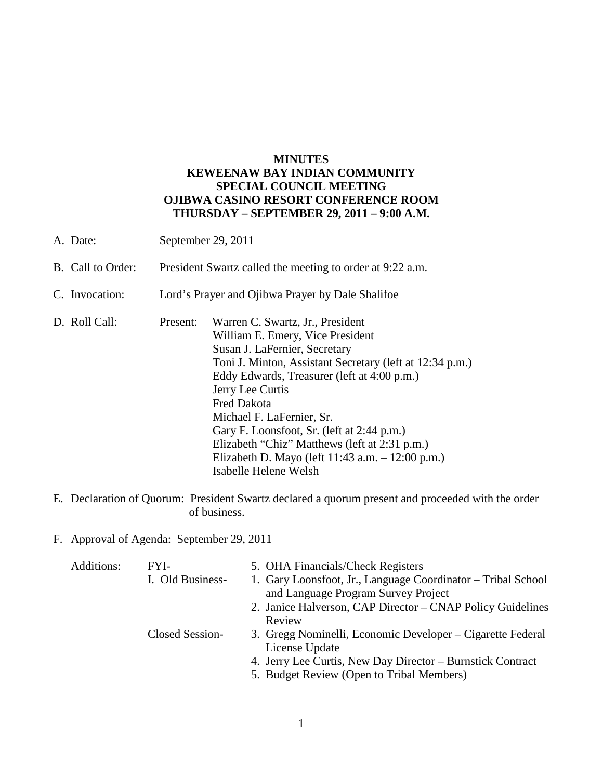# **MINUTES KEWEENAW BAY INDIAN COMMUNITY SPECIAL COUNCIL MEETING OJIBWA CASINO RESORT CONFERENCE ROOM THURSDAY – SEPTEMBER 29, 2011 – 9:00 A.M.**

| A. Date:          | September 29, 2011                                        |                                                                                                                                                                                                                                                                                                                                                                                                                                                                        |  |
|-------------------|-----------------------------------------------------------|------------------------------------------------------------------------------------------------------------------------------------------------------------------------------------------------------------------------------------------------------------------------------------------------------------------------------------------------------------------------------------------------------------------------------------------------------------------------|--|
| B. Call to Order: | President Swartz called the meeting to order at 9:22 a.m. |                                                                                                                                                                                                                                                                                                                                                                                                                                                                        |  |
| C. Invocation:    | Lord's Prayer and Ojibwa Prayer by Dale Shalifoe          |                                                                                                                                                                                                                                                                                                                                                                                                                                                                        |  |
| D. Roll Call:     | Present:                                                  | Warren C. Swartz, Jr., President<br>William E. Emery, Vice President<br>Susan J. LaFernier, Secretary<br>Toni J. Minton, Assistant Secretary (left at 12:34 p.m.)<br>Eddy Edwards, Treasurer (left at 4:00 p.m.)<br>Jerry Lee Curtis<br><b>Fred Dakota</b><br>Michael F. LaFernier, Sr.<br>Gary F. Loonsfoot, Sr. (left at 2:44 p.m.)<br>Elizabeth "Chiz" Matthews (left at 2:31 p.m.)<br>Elizabeth D. Mayo (left $11:43$ a.m. $-12:00$ p.m.)<br>Isabelle Helene Welsh |  |

- E. Declaration of Quorum: President Swartz declared a quorum present and proceeded with the order of business.
- F. Approval of Agenda: September 29, 2011

| Additions: | FYI-             | 5. OHA Financials/Check Registers                            |
|------------|------------------|--------------------------------------------------------------|
|            | I. Old Business- | 1. Gary Loonsfoot, Jr., Language Coordinator – Tribal School |
|            |                  | and Language Program Survey Project                          |
|            |                  | 2. Janice Halverson, CAP Director – CNAP Policy Guidelines   |
|            |                  | Review                                                       |
|            | Closed Session-  | 3. Gregg Nominelli, Economic Developer – Cigarette Federal   |
|            |                  | License Update                                               |
|            |                  | 4. Jerry Lee Curtis, New Day Director – Burnstick Contract   |
|            |                  | 5. Budget Review (Open to Tribal Members)                    |
|            |                  |                                                              |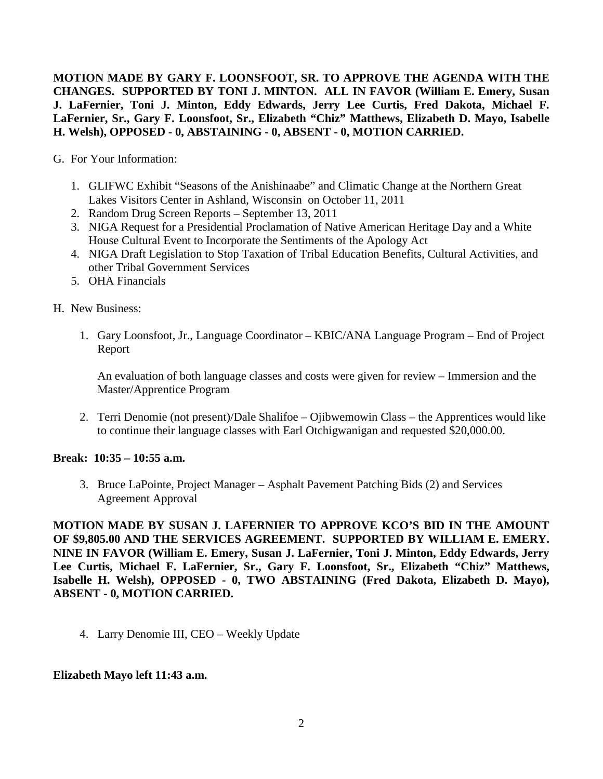**MOTION MADE BY GARY F. LOONSFOOT, SR. TO APPROVE THE AGENDA WITH THE CHANGES. SUPPORTED BY TONI J. MINTON. ALL IN FAVOR (William E. Emery, Susan J. LaFernier, Toni J. Minton, Eddy Edwards, Jerry Lee Curtis, Fred Dakota, Michael F. LaFernier, Sr., Gary F. Loonsfoot, Sr., Elizabeth "Chiz" Matthews, Elizabeth D. Mayo, Isabelle H. Welsh), OPPOSED - 0, ABSTAINING - 0, ABSENT - 0, MOTION CARRIED.**

- G. For Your Information:
	- 1. GLIFWC Exhibit "Seasons of the Anishinaabe" and Climatic Change at the Northern Great Lakes Visitors Center in Ashland, Wisconsin on October 11, 2011
	- 2. Random Drug Screen Reports September 13, 2011
	- 3. NIGA Request for a Presidential Proclamation of Native American Heritage Day and a White House Cultural Event to Incorporate the Sentiments of the Apology Act
	- 4. NIGA Draft Legislation to Stop Taxation of Tribal Education Benefits, Cultural Activities, and other Tribal Government Services
	- 5. OHA Financials
- H. New Business:
	- 1. Gary Loonsfoot, Jr., Language Coordinator KBIC/ANA Language Program End of Project Report

An evaluation of both language classes and costs were given for review – Immersion and the Master/Apprentice Program

2. Terri Denomie (not present)/Dale Shalifoe – Ojibwemowin Class – the Apprentices would like to continue their language classes with Earl Otchigwanigan and requested \$20,000.00.

### **Break: 10:35 – 10:55 a.m.**

3. Bruce LaPointe, Project Manager – Asphalt Pavement Patching Bids (2) and Services Agreement Approval

**MOTION MADE BY SUSAN J. LAFERNIER TO APPROVE KCO'S BID IN THE AMOUNT OF \$9,805.00 AND THE SERVICES AGREEMENT. SUPPORTED BY WILLIAM E. EMERY. NINE IN FAVOR (William E. Emery, Susan J. LaFernier, Toni J. Minton, Eddy Edwards, Jerry Lee Curtis, Michael F. LaFernier, Sr., Gary F. Loonsfoot, Sr., Elizabeth "Chiz" Matthews, Isabelle H. Welsh), OPPOSED - 0, TWO ABSTAINING (Fred Dakota, Elizabeth D. Mayo), ABSENT - 0, MOTION CARRIED.**

4. Larry Denomie III, CEO – Weekly Update

### **Elizabeth Mayo left 11:43 a.m.**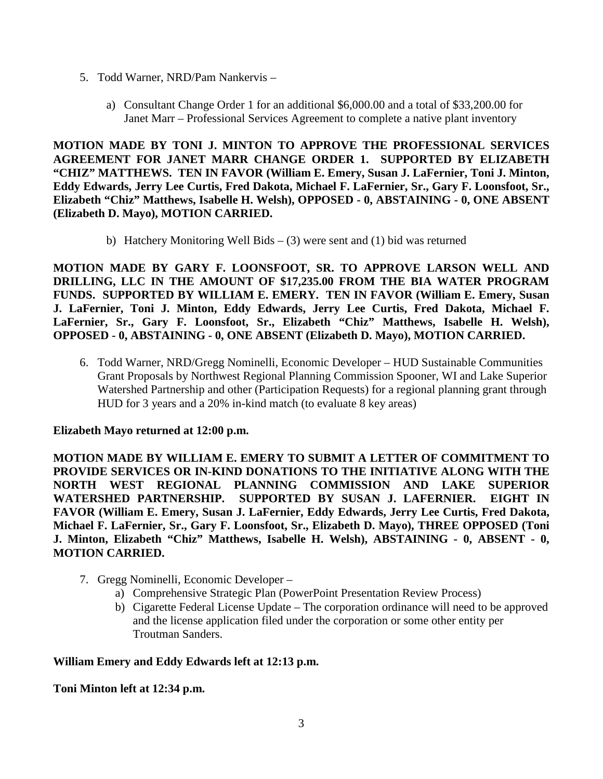- 5. Todd Warner, NRD/Pam Nankervis
	- a) Consultant Change Order 1 for an additional \$6,000.00 and a total of \$33,200.00 for Janet Marr – Professional Services Agreement to complete a native plant inventory

**MOTION MADE BY TONI J. MINTON TO APPROVE THE PROFESSIONAL SERVICES AGREEMENT FOR JANET MARR CHANGE ORDER 1. SUPPORTED BY ELIZABETH "CHIZ" MATTHEWS. TEN IN FAVOR (William E. Emery, Susan J. LaFernier, Toni J. Minton, Eddy Edwards, Jerry Lee Curtis, Fred Dakota, Michael F. LaFernier, Sr., Gary F. Loonsfoot, Sr., Elizabeth "Chiz" Matthews, Isabelle H. Welsh), OPPOSED - 0, ABSTAINING - 0, ONE ABSENT (Elizabeth D. Mayo), MOTION CARRIED.**

b) Hatchery Monitoring Well Bids – (3) were sent and (1) bid was returned

**MOTION MADE BY GARY F. LOONSFOOT, SR. TO APPROVE LARSON WELL AND DRILLING, LLC IN THE AMOUNT OF \$17,235.00 FROM THE BIA WATER PROGRAM FUNDS. SUPPORTED BY WILLIAM E. EMERY. TEN IN FAVOR (William E. Emery, Susan J. LaFernier, Toni J. Minton, Eddy Edwards, Jerry Lee Curtis, Fred Dakota, Michael F. LaFernier, Sr., Gary F. Loonsfoot, Sr., Elizabeth "Chiz" Matthews, Isabelle H. Welsh), OPPOSED - 0, ABSTAINING - 0, ONE ABSENT (Elizabeth D. Mayo), MOTION CARRIED.**

6. Todd Warner, NRD/Gregg Nominelli, Economic Developer – HUD Sustainable Communities Grant Proposals by Northwest Regional Planning Commission Spooner, WI and Lake Superior Watershed Partnership and other (Participation Requests) for a regional planning grant through HUD for 3 years and a 20% in-kind match (to evaluate 8 key areas)

# **Elizabeth Mayo returned at 12:00 p.m.**

**MOTION MADE BY WILLIAM E. EMERY TO SUBMIT A LETTER OF COMMITMENT TO PROVIDE SERVICES OR IN-KIND DONATIONS TO THE INITIATIVE ALONG WITH THE NORTH WEST REGIONAL PLANNING COMMISSION AND LAKE SUPERIOR WATERSHED PARTNERSHIP. SUPPORTED BY SUSAN J. LAFERNIER. EIGHT IN FAVOR (William E. Emery, Susan J. LaFernier, Eddy Edwards, Jerry Lee Curtis, Fred Dakota, Michael F. LaFernier, Sr., Gary F. Loonsfoot, Sr., Elizabeth D. Mayo), THREE OPPOSED (Toni J. Minton, Elizabeth "Chiz" Matthews, Isabelle H. Welsh), ABSTAINING - 0, ABSENT - 0, MOTION CARRIED.**

- 7. Gregg Nominelli, Economic Developer
	- a) Comprehensive Strategic Plan (PowerPoint Presentation Review Process)
	- b) Cigarette Federal License Update The corporation ordinance will need to be approved and the license application filed under the corporation or some other entity per Troutman Sanders.

# **William Emery and Eddy Edwards left at 12:13 p.m.**

**Toni Minton left at 12:34 p.m.**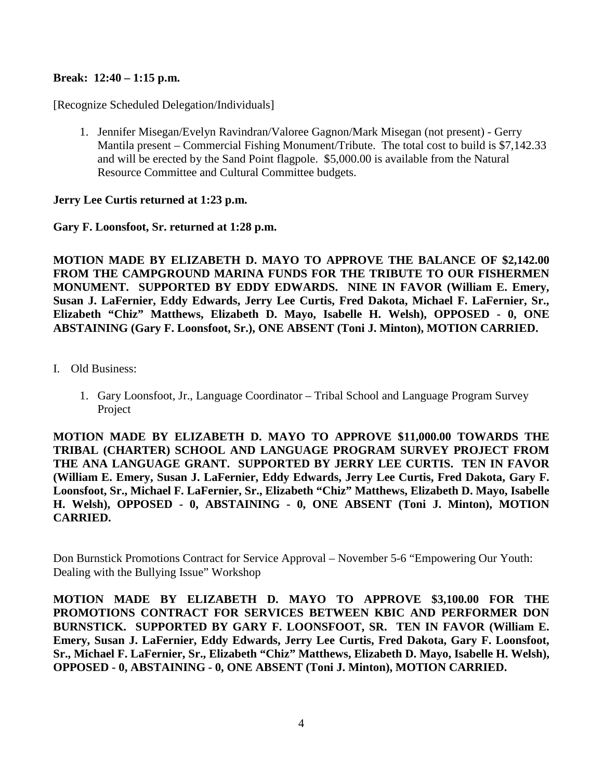### **Break: 12:40 – 1:15 p.m.**

[Recognize Scheduled Delegation/Individuals]

1. Jennifer Misegan/Evelyn Ravindran/Valoree Gagnon/Mark Misegan (not present) - Gerry Mantila present – Commercial Fishing Monument/Tribute. The total cost to build is \$7,142.33 and will be erected by the Sand Point flagpole. \$5,000.00 is available from the Natural Resource Committee and Cultural Committee budgets.

### **Jerry Lee Curtis returned at 1:23 p.m.**

**Gary F. Loonsfoot, Sr. returned at 1:28 p.m.** 

**MOTION MADE BY ELIZABETH D. MAYO TO APPROVE THE BALANCE OF \$2,142.00 FROM THE CAMPGROUND MARINA FUNDS FOR THE TRIBUTE TO OUR FISHERMEN MONUMENT. SUPPORTED BY EDDY EDWARDS. NINE IN FAVOR (William E. Emery, Susan J. LaFernier, Eddy Edwards, Jerry Lee Curtis, Fred Dakota, Michael F. LaFernier, Sr., Elizabeth "Chiz" Matthews, Elizabeth D. Mayo, Isabelle H. Welsh), OPPOSED - 0, ONE ABSTAINING (Gary F. Loonsfoot, Sr.), ONE ABSENT (Toni J. Minton), MOTION CARRIED.** 

- I. Old Business:
	- 1. Gary Loonsfoot, Jr., Language Coordinator Tribal School and Language Program Survey Project

**MOTION MADE BY ELIZABETH D. MAYO TO APPROVE \$11,000.00 TOWARDS THE TRIBAL (CHARTER) SCHOOL AND LANGUAGE PROGRAM SURVEY PROJECT FROM THE ANA LANGUAGE GRANT. SUPPORTED BY JERRY LEE CURTIS. TEN IN FAVOR (William E. Emery, Susan J. LaFernier, Eddy Edwards, Jerry Lee Curtis, Fred Dakota, Gary F. Loonsfoot, Sr., Michael F. LaFernier, Sr., Elizabeth "Chiz" Matthews, Elizabeth D. Mayo, Isabelle H. Welsh), OPPOSED - 0, ABSTAINING - 0, ONE ABSENT (Toni J. Minton), MOTION CARRIED.**

Don Burnstick Promotions Contract for Service Approval – November 5-6 "Empowering Our Youth: Dealing with the Bullying Issue" Workshop

**MOTION MADE BY ELIZABETH D. MAYO TO APPROVE \$3,100.00 FOR THE PROMOTIONS CONTRACT FOR SERVICES BETWEEN KBIC AND PERFORMER DON BURNSTICK. SUPPORTED BY GARY F. LOONSFOOT, SR. TEN IN FAVOR (William E. Emery, Susan J. LaFernier, Eddy Edwards, Jerry Lee Curtis, Fred Dakota, Gary F. Loonsfoot, Sr., Michael F. LaFernier, Sr., Elizabeth "Chiz" Matthews, Elizabeth D. Mayo, Isabelle H. Welsh), OPPOSED - 0, ABSTAINING - 0, ONE ABSENT (Toni J. Minton), MOTION CARRIED.**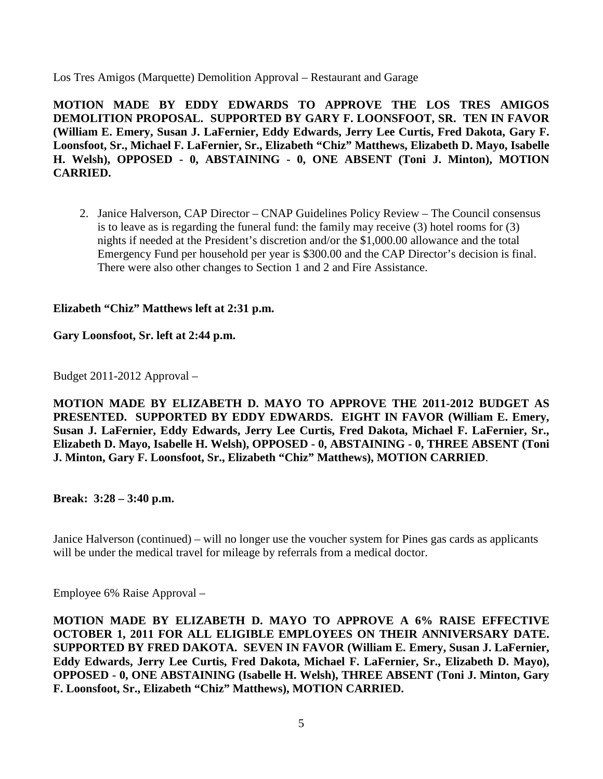Los Tres Amigos (Marquette) Demolition Approval – Restaurant and Garage

**MOTION MADE BY EDDY EDWARDS TO APPROVE THE LOS TRES AMIGOS DEMOLITION PROPOSAL. SUPPORTED BY GARY F. LOONSFOOT, SR. TEN IN FAVOR (William E. Emery, Susan J. LaFernier, Eddy Edwards, Jerry Lee Curtis, Fred Dakota, Gary F. Loonsfoot, Sr., Michael F. LaFernier, Sr., Elizabeth "Chiz" Matthews, Elizabeth D. Mayo, Isabelle H. Welsh), OPPOSED - 0, ABSTAINING - 0, ONE ABSENT (Toni J. Minton), MOTION CARRIED.**

2. Janice Halverson, CAP Director – CNAP Guidelines Policy Review – The Council consensus is to leave as is regarding the funeral fund: the family may receive (3) hotel rooms for (3) nights if needed at the President's discretion and/or the \$1,000.00 allowance and the total Emergency Fund per household per year is \$300.00 and the CAP Director's decision is final. There were also other changes to Section 1 and 2 and Fire Assistance.

# **Elizabeth "Chiz" Matthews left at 2:31 p.m.**

# **Gary Loonsfoot, Sr. left at 2:44 p.m.**

Budget 2011-2012 Approval –

**MOTION MADE BY ELIZABETH D. MAYO TO APPROVE THE 2011-2012 BUDGET AS PRESENTED. SUPPORTED BY EDDY EDWARDS. EIGHT IN FAVOR (William E. Emery, Susan J. LaFernier, Eddy Edwards, Jerry Lee Curtis, Fred Dakota, Michael F. LaFernier, Sr., Elizabeth D. Mayo, Isabelle H. Welsh), OPPOSED - 0, ABSTAINING - 0, THREE ABSENT (Toni J. Minton, Gary F. Loonsfoot, Sr., Elizabeth "Chiz" Matthews), MOTION CARRIED**.

**Break: 3:28 – 3:40 p.m.** 

Janice Halverson (continued) – will no longer use the voucher system for Pines gas cards as applicants will be under the medical travel for mileage by referrals from a medical doctor.

Employee 6% Raise Approval –

**MOTION MADE BY ELIZABETH D. MAYO TO APPROVE A 6% RAISE EFFECTIVE OCTOBER 1, 2011 FOR ALL ELIGIBLE EMPLOYEES ON THEIR ANNIVERSARY DATE. SUPPORTED BY FRED DAKOTA. SEVEN IN FAVOR (William E. Emery, Susan J. LaFernier, Eddy Edwards, Jerry Lee Curtis, Fred Dakota, Michael F. LaFernier, Sr., Elizabeth D. Mayo), OPPOSED - 0, ONE ABSTAINING (Isabelle H. Welsh), THREE ABSENT (Toni J. Minton, Gary F. Loonsfoot, Sr., Elizabeth "Chiz" Matthews), MOTION CARRIED.**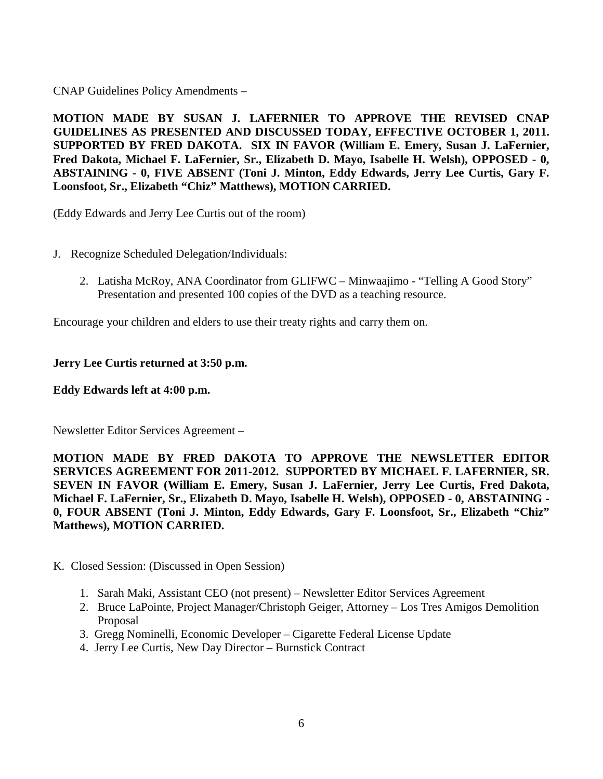CNAP Guidelines Policy Amendments –

**MOTION MADE BY SUSAN J. LAFERNIER TO APPROVE THE REVISED CNAP GUIDELINES AS PRESENTED AND DISCUSSED TODAY, EFFECTIVE OCTOBER 1, 2011. SUPPORTED BY FRED DAKOTA. SIX IN FAVOR (William E. Emery, Susan J. LaFernier, Fred Dakota, Michael F. LaFernier, Sr., Elizabeth D. Mayo, Isabelle H. Welsh), OPPOSED - 0, ABSTAINING - 0, FIVE ABSENT (Toni J. Minton, Eddy Edwards, Jerry Lee Curtis, Gary F. Loonsfoot, Sr., Elizabeth "Chiz" Matthews), MOTION CARRIED.** 

(Eddy Edwards and Jerry Lee Curtis out of the room)

- J. Recognize Scheduled Delegation/Individuals:
	- 2. Latisha McRoy, ANA Coordinator from GLIFWC Minwaajimo "Telling A Good Story" Presentation and presented 100 copies of the DVD as a teaching resource.

Encourage your children and elders to use their treaty rights and carry them on.

### **Jerry Lee Curtis returned at 3:50 p.m.**

### **Eddy Edwards left at 4:00 p.m.**

Newsletter Editor Services Agreement –

**MOTION MADE BY FRED DAKOTA TO APPROVE THE NEWSLETTER EDITOR SERVICES AGREEMENT FOR 2011-2012. SUPPORTED BY MICHAEL F. LAFERNIER, SR. SEVEN IN FAVOR (William E. Emery, Susan J. LaFernier, Jerry Lee Curtis, Fred Dakota, Michael F. LaFernier, Sr., Elizabeth D. Mayo, Isabelle H. Welsh), OPPOSED - 0, ABSTAINING - 0, FOUR ABSENT (Toni J. Minton, Eddy Edwards, Gary F. Loonsfoot, Sr., Elizabeth "Chiz" Matthews), MOTION CARRIED.**

- K. Closed Session: (Discussed in Open Session)
	- 1. Sarah Maki, Assistant CEO (not present) Newsletter Editor Services Agreement
	- 2. Bruce LaPointe, Project Manager/Christoph Geiger, Attorney Los Tres Amigos Demolition Proposal
	- 3. Gregg Nominelli, Economic Developer Cigarette Federal License Update
	- 4. Jerry Lee Curtis, New Day Director Burnstick Contract